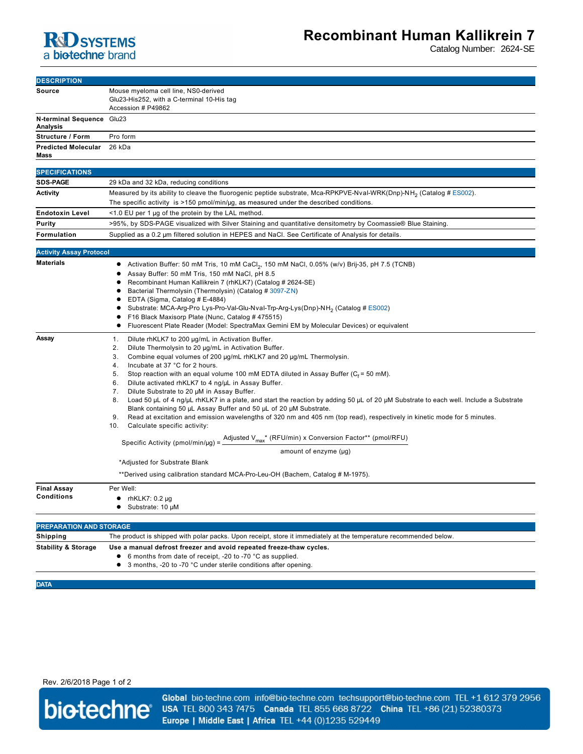

## **Recombinant Human Kallikrein 7**

Catalog Number: 2624-SE

| <b>DESCRIPTION</b>                                 |                                                                                                                                                                                                                                                                                                                                                                                                                                                                                                                                                                                                                                                                                                                                                                                                                                                                                                                                                                                                                                                                                                                                            |
|----------------------------------------------------|--------------------------------------------------------------------------------------------------------------------------------------------------------------------------------------------------------------------------------------------------------------------------------------------------------------------------------------------------------------------------------------------------------------------------------------------------------------------------------------------------------------------------------------------------------------------------------------------------------------------------------------------------------------------------------------------------------------------------------------------------------------------------------------------------------------------------------------------------------------------------------------------------------------------------------------------------------------------------------------------------------------------------------------------------------------------------------------------------------------------------------------------|
| Source                                             | Mouse myeloma cell line, NS0-derived<br>Glu23-His252, with a C-terminal 10-His tag<br>Accession # P49862                                                                                                                                                                                                                                                                                                                                                                                                                                                                                                                                                                                                                                                                                                                                                                                                                                                                                                                                                                                                                                   |
| N-terminal Sequence Glu23<br><b>Analysis</b>       |                                                                                                                                                                                                                                                                                                                                                                                                                                                                                                                                                                                                                                                                                                                                                                                                                                                                                                                                                                                                                                                                                                                                            |
| Structure / Form                                   | Pro form                                                                                                                                                                                                                                                                                                                                                                                                                                                                                                                                                                                                                                                                                                                                                                                                                                                                                                                                                                                                                                                                                                                                   |
| <b>Predicted Molecular</b><br>Mass                 | 26 kDa                                                                                                                                                                                                                                                                                                                                                                                                                                                                                                                                                                                                                                                                                                                                                                                                                                                                                                                                                                                                                                                                                                                                     |
| <b>SPECIFICATIONS</b>                              |                                                                                                                                                                                                                                                                                                                                                                                                                                                                                                                                                                                                                                                                                                                                                                                                                                                                                                                                                                                                                                                                                                                                            |
| <b>SDS-PAGE</b>                                    | 29 kDa and 32 kDa, reducing conditions                                                                                                                                                                                                                                                                                                                                                                                                                                                                                                                                                                                                                                                                                                                                                                                                                                                                                                                                                                                                                                                                                                     |
| Activity                                           | Measured by its ability to cleave the fluorogenic peptide substrate, Mca-RPKPVE-Nval-WRK(Dnp)-NH <sub>2</sub> (Catalog # ES002).                                                                                                                                                                                                                                                                                                                                                                                                                                                                                                                                                                                                                                                                                                                                                                                                                                                                                                                                                                                                           |
|                                                    | The specific activity is >150 pmol/min/ $\mu$ g, as measured under the described conditions.                                                                                                                                                                                                                                                                                                                                                                                                                                                                                                                                                                                                                                                                                                                                                                                                                                                                                                                                                                                                                                               |
| <b>Endotoxin Level</b>                             | <1.0 EU per 1 µg of the protein by the LAL method.                                                                                                                                                                                                                                                                                                                                                                                                                                                                                                                                                                                                                                                                                                                                                                                                                                                                                                                                                                                                                                                                                         |
| Purity                                             | >95%, by SDS-PAGE visualized with Silver Staining and quantitative densitometry by Coomassie® Blue Staining.                                                                                                                                                                                                                                                                                                                                                                                                                                                                                                                                                                                                                                                                                                                                                                                                                                                                                                                                                                                                                               |
| Formulation                                        | Supplied as a 0.2 µm filtered solution in HEPES and NaCl. See Certificate of Analysis for details.                                                                                                                                                                                                                                                                                                                                                                                                                                                                                                                                                                                                                                                                                                                                                                                                                                                                                                                                                                                                                                         |
| <b>Activity Assay Protocol</b>                     |                                                                                                                                                                                                                                                                                                                                                                                                                                                                                                                                                                                                                                                                                                                                                                                                                                                                                                                                                                                                                                                                                                                                            |
| <b>Materials</b>                                   | Activation Buffer: 50 mM Tris, 10 mM CaCl <sub>2</sub> , 150 mM NaCl, 0.05% (w/v) Brij-35, pH 7.5 (TCNB)<br>Assay Buffer: 50 mM Tris, 150 mM NaCl, pH 8.5<br>Recombinant Human Kallikrein 7 (rhKLK7) (Catalog # 2624-SE)<br>Bacterial Thermolysin (Thermolysin) (Catalog # 3097-ZN)<br>EDTA (Sigma, Catalog # E-4884)<br>Substrate: MCA-Arg-Pro Lys-Pro-Val-Glu-Nval-Trp-Arg-Lys(Dnp)-NH <sub>2</sub> (Catalog # ES002)<br>٠<br>F16 Black Maxisorp Plate (Nunc, Catalog #475515)<br>Fluorescent Plate Reader (Model: SpectraMax Gemini EM by Molecular Devices) or equivalent                                                                                                                                                                                                                                                                                                                                                                                                                                                                                                                                                              |
| Assay                                              | Dilute rhKLK7 to 200 µg/mL in Activation Buffer.<br>1.<br>2.<br>Dilute Thermolysin to 20 µg/mL in Activation Buffer.<br>3.<br>Combine equal volumes of 200 µg/mL rhKLK7 and 20 µg/mL Thermolysin.<br>4.<br>Incubate at 37 °C for 2 hours.<br>5.<br>Stop reaction with an equal volume 100 mM EDTA diluted in Assay Buffer ( $C_f$ = 50 mM).<br>Dilute activated rhKLK7 to 4 ng/µL in Assay Buffer.<br>6.<br>7.<br>Dilute Substrate to 20 µM in Assay Buffer.<br>8.<br>Load 50 µL of 4 ng/µL rhKLK7 in a plate, and start the reaction by adding 50 µL of 20 µM Substrate to each well. Include a Substrate<br>Blank containing 50 µL Assay Buffer and 50 µL of 20 µM Substrate.<br>Read at excitation and emission wavelengths of 320 nm and 405 nm (top read), respectively in kinetic mode for 5 minutes.<br>9.<br>10.<br>Calculate specific activity:<br>Specific Activity (pmol/min/µg) = $\frac{\text{Adjusted V}_{\text{max}}^*}{\text{RFU/min}}$ x Conversion Factor** (pmol/RFU)<br>amount of enzyme $(\mu g)$<br>*Adjusted for Substrate Blank<br>**Derived using calibration standard MCA-Pro-Leu-OH (Bachem, Catalog # M-1975). |
| <b>Final Assay</b><br><b>Conditions</b>            | Per Well:<br>$\bullet$ rhKLK7: 0.2 µg                                                                                                                                                                                                                                                                                                                                                                                                                                                                                                                                                                                                                                                                                                                                                                                                                                                                                                                                                                                                                                                                                                      |
| Substrate: 10 μM<br><b>PREPARATION AND STORAGE</b> |                                                                                                                                                                                                                                                                                                                                                                                                                                                                                                                                                                                                                                                                                                                                                                                                                                                                                                                                                                                                                                                                                                                                            |
| Shipping                                           | The product is shipped with polar packs. Upon receipt, store it immediately at the temperature recommended below.                                                                                                                                                                                                                                                                                                                                                                                                                                                                                                                                                                                                                                                                                                                                                                                                                                                                                                                                                                                                                          |
| <b>Stability &amp; Storage</b>                     | Use a manual defrost freezer and avoid repeated freeze-thaw cycles.<br>6 months from date of receipt, -20 to -70 °C as supplied.<br>٠<br>• 3 months, -20 to -70 °C under sterile conditions after opening.                                                                                                                                                                                                                                                                                                                                                                                                                                                                                                                                                                                                                                                                                                                                                                                                                                                                                                                                 |

**DATA**

Rev. 2/6/2018 Page 1 of 2



Global bio-techne.com info@bio-techne.com techsupport@bio-techne.com TEL +1 612 379 2956 USA TEL 800 343 7475 Canada TEL 855 668 8722 China TEL +86 (21) 52380373 Europe | Middle East | Africa TEL +44 (0)1235 529449